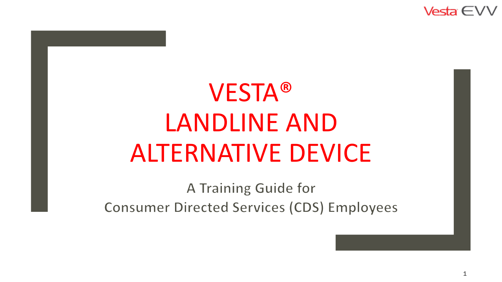Vesta  $\in$ 

# VESTA® LANDLINE AND ALTERNATIVE DEVICE

A Training Guide for **Consumer Directed Services (CDS) Employees**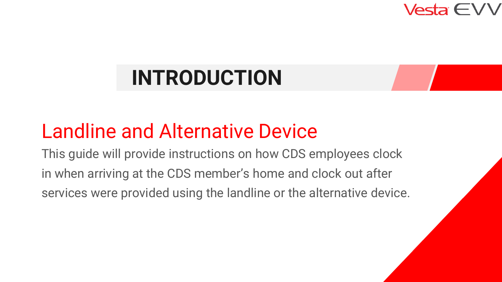

# **INTRODUCTION**

## Landline and Alternative Device

This guide will provide instructions on how CDS employees clock in when arriving at the CDS member's home and clock out after services were provided using the landline or the alternative device.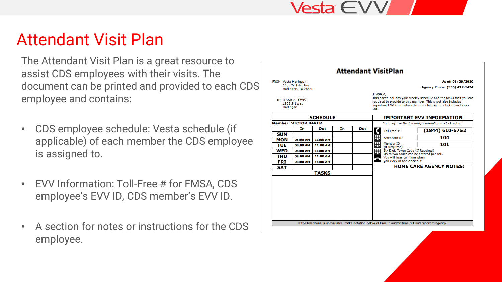#### Attendant Visit Plan

The Attendant Visit Plan is a great resource to assist CDS employees with their visits. The document can be printed and provided to each CDS employee and contains:

- CDS employee schedule: Vesta schedule (if applicable) of each member the CDS employee is assigned to.
- EVV Information: Toll-Free # for FMSA, CDS employee's EVV ID, CDS member's EVV ID.
- A section for notes or instructions for the CDS employee.

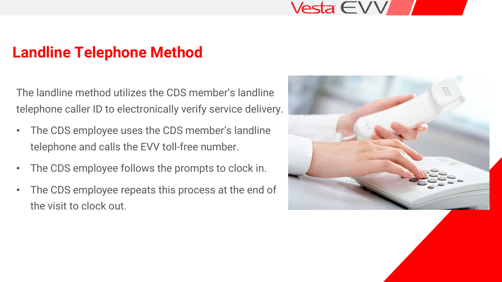#### **Landline Telephone Method**

The landline method utilizes the CDS member's landline telephone caller ID to electronically verify service delivery.

- The CDS employee uses the CDS member's landline telephone and calls the EVV toll-free number.
- The CDS employee follows the prompts to clock in.
- The CDS employee repeats this process at the end of the visit to clock out.

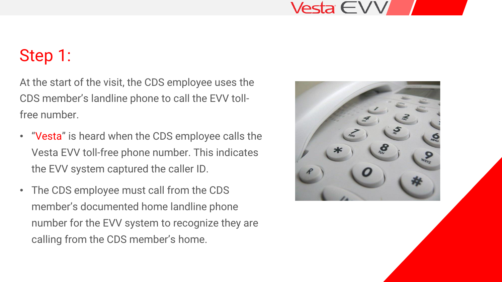#### Step 1:

At the start of the visit, the CDS employee uses the CDS member's landline phone to call the EVV tollfree number.

- "Vesta" is heard when the CDS employee calls the Vesta EVV toll-free phone number. This indicates the EVV system captured the caller ID.
- The CDS employee must call from the CDS member's documented home landline phone number for the EVV system to recognize they are calling from the CDS member's home.

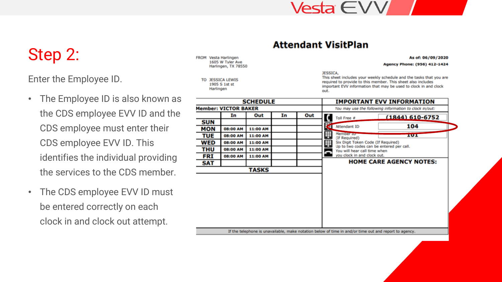#### Step 2:

Enter the Employee ID.

- The Employee ID is also known as the CDS employee EVV ID and the CDS employee must enter their CDS employee EVV ID. This identifies the individual providing the services to the CDS member.
- The CDS employee EVV ID must be entered correctly on each clock in and clock out attempt.

FROM Vesta Harlingen 1605 W Tyler Ave Harlingen, TX 78550

> TO JESSICA LEWIS 1905 S 1st st Harlingen

#### **Attendant VisitPlan**

#### As of: 06/09/2020

Agency Phone: (956) 412-1424

JESSICA.

| <b>SCHEDULE</b>                                                                                       |          |          |    |     | <b>IMPORTANT EVV INFORMATION</b>                                         |                                |  |  |
|-------------------------------------------------------------------------------------------------------|----------|----------|----|-----|--------------------------------------------------------------------------|--------------------------------|--|--|
| <b>Member: VICTOR BAKER</b>                                                                           |          |          |    |     | You may use the following information to clock in/out:                   |                                |  |  |
|                                                                                                       | In       | Out      | In | Out | Toll Free #                                                              | $(1844)$ 610-6752              |  |  |
| SUN                                                                                                   |          |          |    |     |                                                                          |                                |  |  |
| MON                                                                                                   | 08:00 AM | 11:00 AM |    |     | Attendant ID                                                             | 104                            |  |  |
| TUE                                                                                                   | 08:00 AM | 11:00 AM |    |     | ₽<br>Member <sub>ID</sub><br>(If Required)                               | 101                            |  |  |
| WED                                                                                                   | 08:00 AM | 11:00 AM |    |     | ₽<br>Six Digit Token Code (If Required)                                  |                                |  |  |
| THU                                                                                                   | 08:00 AM | 11:00 AM |    |     | Up to two codes can be entered per call.<br>You will hear call time when |                                |  |  |
| FRI                                                                                                   | 08:00 AM | 11:00 AM |    |     | you clock in and clock out.                                              |                                |  |  |
| SAT                                                                                                   |          |          |    |     |                                                                          | <b>HOME CARE AGENCY NOTES:</b> |  |  |
|                                                                                                       |          | TASKS    |    |     |                                                                          |                                |  |  |
|                                                                                                       |          |          |    |     |                                                                          |                                |  |  |
|                                                                                                       |          |          |    |     |                                                                          |                                |  |  |
|                                                                                                       |          |          |    |     |                                                                          |                                |  |  |
|                                                                                                       |          |          |    |     |                                                                          |                                |  |  |
|                                                                                                       |          |          |    |     |                                                                          |                                |  |  |
|                                                                                                       |          |          |    |     |                                                                          |                                |  |  |
|                                                                                                       |          |          |    |     |                                                                          |                                |  |  |
|                                                                                                       |          |          |    |     |                                                                          |                                |  |  |
| If the telephone is unavailable, make notation below of time in and/or time out and report to agency. |          |          |    |     |                                                                          |                                |  |  |
|                                                                                                       |          |          |    |     |                                                                          |                                |  |  |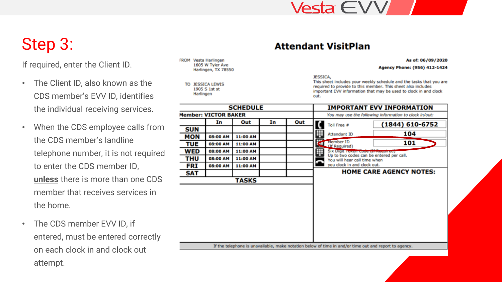## Step 3:

If required, enter the Client ID.

- The Client ID, also known as the CDS member's EVV ID, identifies the individual receiving services.
- When the CDS employee calls from the CDS member's landline telephone number, it is not required to enter the CDS member ID, **unless** there is more than one CDS member that receives services in the home.
- The CDS member EVV ID, if entered, must be entered correctly on each clock in and clock out attempt.

FROM Vesta Harlingen 1605 W Tyler Ave Harlingen, TX 78550

TO JESSICA LEWIS 1905 S 1st st Harlingen

#### **Attendant VisitPlan**

As of: 06/09/2020

Agency Phone: (956) 412-1424

JESSICA.

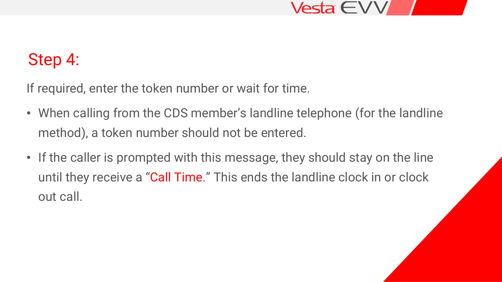

#### Step 4:

If required, enter the token number or wait for time.

- When calling from the CDS member's landline telephone (for the landline method), a token number should not be entered.
- If the caller is prompted with this message, they should stay on the line until they receive a "Call Time." This ends the landline clock in or clock out call.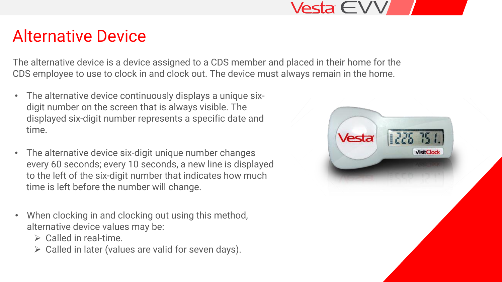#### Alternative Device

The alternative device is a device assigned to a CDS member and placed in their home for the CDS employee to use to clock in and clock out. The device must always remain in the home.

- The alternative device continuously displays a unique sixdigit number on the screen that is always visible. The displayed six-digit number represents a specific date and time.
- The alternative device six-digit unique number changes every 60 seconds; every 10 seconds, a new line is displayed to the left of the six-digit number that indicates how much time is left before the number will change.
- When clocking in and clocking out using this method, alternative device values may be:
	- $\triangleright$  Called in real-time.
	- ➢ Called in later (values are valid for seven days).

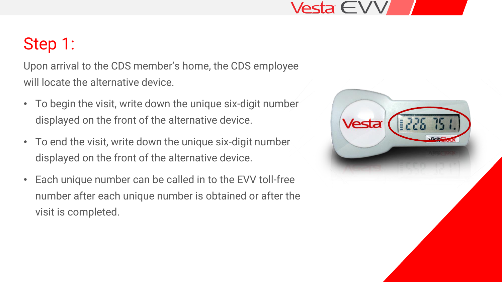#### Vesta  $\in$   $\vee$

#### Step 1:

Upon arrival to the CDS member's home, the CDS employee will locate the alternative device.

- To begin the visit, write down the unique six-digit number displayed on the front of the alternative device.
- To end the visit, write down the unique six-digit number displayed on the front of the alternative device.
- Each unique number can be called in to the EVV toll-free number after each unique number is obtained or after the visit is completed.

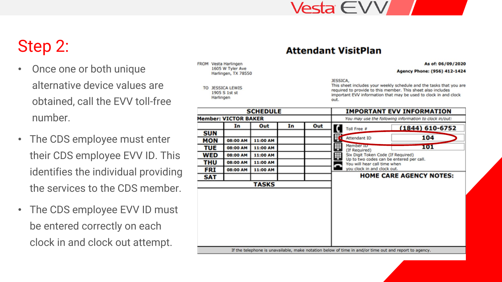#### Vesta  $\in$ V

#### Step 2:

- Once one or both unique alternative device values are obtained, call the EVV toll-free number.
- The CDS employee must enter their CDS employee EVV ID. This identifies the individual providing the services to the CDS member.
- The CDS employee EVV ID must be entered correctly on each clock in and clock out attempt.

FROM Vesta Harlingen 1605 W Tyler Ave Harlingen, TX 78550

**JESSICA LEWIS** TO 1905 S 1st st Harlingen

**Attendant VisitPlan** 

As of: 06/09/2020

Agency Phone: (956) 412-1424

JESSICA,

| <b>SCHEDULE</b>                                                                                       |                 |          |    |     | <b>IMPORTANT EVV INFORMATION</b>                                                                                    |  |  |  |
|-------------------------------------------------------------------------------------------------------|-----------------|----------|----|-----|---------------------------------------------------------------------------------------------------------------------|--|--|--|
| <b>Member: VICTOR BAKER</b>                                                                           |                 |          |    |     | You may use the following information to clock in/out:                                                              |  |  |  |
|                                                                                                       | In              | Out      | In | Out | $(1844) 610 - 6752$<br>Toll Free #                                                                                  |  |  |  |
| <b>SUN</b>                                                                                            |                 |          |    |     |                                                                                                                     |  |  |  |
| <b>MON</b>                                                                                            | <b>08:00 AM</b> | 11:00 AM |    |     | K<br>104<br>Attendant ID                                                                                            |  |  |  |
| TUE                                                                                                   | <b>08:00 AM</b> | 11:00 AM |    |     | ⊞<br>Member <sub>ID</sub><br>101<br>(If Required)                                                                   |  |  |  |
| WED                                                                                                   | <b>08:00 AM</b> | 11:00 AM |    |     | ₩<br>Six Digit Token Code (If Required)<br>Up to two codes can be entered per call.<br>You will hear call time when |  |  |  |
| THU                                                                                                   | 08:00 AM        | 11:00 AM |    |     |                                                                                                                     |  |  |  |
| <b>FRI</b>                                                                                            | <b>08:00 AM</b> | 11:00 AM |    |     | you clock in and clock out.                                                                                         |  |  |  |
| <b>SAT</b>                                                                                            |                 |          |    |     | <b>HOME CARE AGENCY NOTES:</b>                                                                                      |  |  |  |
|                                                                                                       |                 | TASKS    |    |     |                                                                                                                     |  |  |  |
|                                                                                                       |                 |          |    |     |                                                                                                                     |  |  |  |
| If the telephone is unavailable, make notation below of time in and/or time out and report to agency. |                 |          |    |     |                                                                                                                     |  |  |  |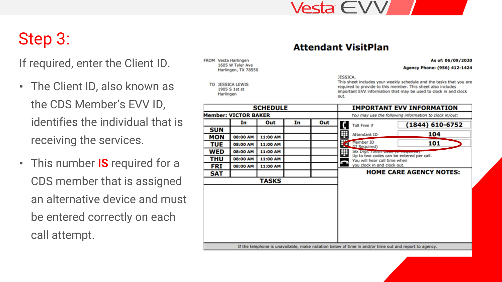## Step 3:

If required, enter the Client ID.

- The Client ID, also known as the CDS Member's EVV ID, identifies the individual that is receiving the services.
- This number **IS** required for a CDS member that is assigned an alternative device and must be entered correctly on each call attempt.

FROM Vesta Harlingen 1605 W Tyler Ave Harlingen, TX 78550

> **JESSICA LEWIS** 1905 S 1st st Harlingen

**Attendant VisitPlan** 

As of: 06/09/2020

Agency Phone: (956) 412-1424

JESSICA,

| <b>SCHEDULE</b>             |                 |          |    |     | <b>IMPORTANT EVV INFORMATION</b>                       |                                      |                                                                                                       |
|-----------------------------|-----------------|----------|----|-----|--------------------------------------------------------|--------------------------------------|-------------------------------------------------------------------------------------------------------|
| <b>Member: VICTOR BAKER</b> |                 |          |    |     | You may use the following information to clock in/out: |                                      |                                                                                                       |
|                             | In              | Out      | In | Out |                                                        | Toll Free #                          | $(1844) 610 - 6752$                                                                                   |
| <b>SUN</b>                  |                 |          |    |     |                                                        |                                      |                                                                                                       |
| <b>MON</b>                  | 08:00 AM        | 11:00 AM |    |     | ₩                                                      | Attendant ID                         | 104                                                                                                   |
| TUE                         | <b>08:00 AM</b> | 11:00 AM |    |     |                                                        | Member ID<br>(If Required)           | 101                                                                                                   |
| WED                         | 08:00 AM        | 11:00 AM |    |     | ₩                                                      | Six Digit TURETT COOP (11 TRESPITED) |                                                                                                       |
| THU                         | 08:00 AM        | 11:00 AM |    |     |                                                        | You will hear call time when         | Up to two codes can be entered per call.                                                              |
| <b>FRI</b>                  | <b>08:00 AM</b> | 11:00 AM |    |     |                                                        | you clock in and clock out.          |                                                                                                       |
| <b>SAT</b>                  |                 |          |    |     |                                                        |                                      | <b>HOME CARE AGENCY NOTES:</b>                                                                        |
|                             |                 | TASKS    |    |     |                                                        |                                      |                                                                                                       |
|                             |                 |          |    |     |                                                        |                                      |                                                                                                       |
|                             |                 |          |    |     |                                                        |                                      |                                                                                                       |
|                             |                 |          |    |     |                                                        |                                      |                                                                                                       |
|                             |                 |          |    |     |                                                        |                                      |                                                                                                       |
|                             |                 |          |    |     |                                                        |                                      |                                                                                                       |
|                             |                 |          |    |     |                                                        |                                      |                                                                                                       |
|                             |                 |          |    |     |                                                        |                                      |                                                                                                       |
|                             |                 |          |    |     |                                                        |                                      |                                                                                                       |
|                             |                 |          |    |     |                                                        |                                      |                                                                                                       |
|                             |                 |          |    |     |                                                        |                                      | If the telephone is unavailable, make notation below of time in and/or time out and report to agency. |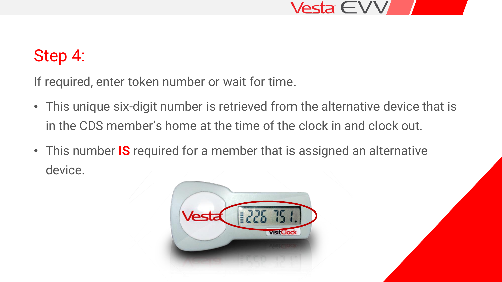

#### Step 4:

If required, enter token number or wait for time.

- This unique six-digit number is retrieved from the alternative device that is in the CDS member's home at the time of the clock in and clock out.
- This number **IS** required for a member that is assigned an alternative device.

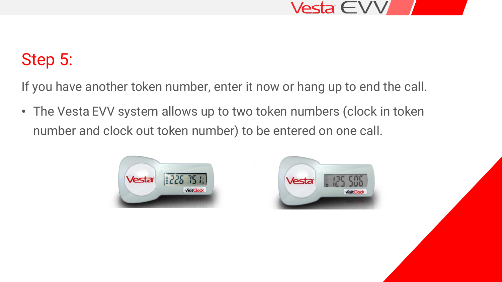

#### Step 5:

If you have another token number, enter it now or hang up to end the call.

• The Vesta EVV system allows up to two token numbers (clock in token number and clock out token number) to be entered on one call.



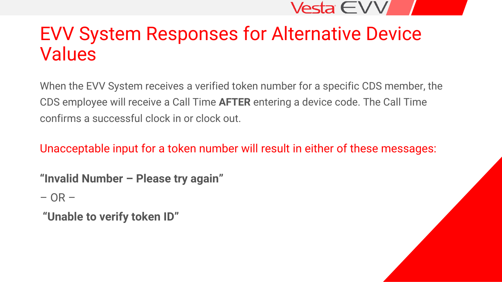## EVV System Responses for Alternative Device Values

When the EVV System receives a verified token number for a specific CDS member, the CDS employee will receive a Call Time **AFTER** entering a device code. The Call Time confirms a successful clock in or clock out.

Unacceptable input for a token number will result in either of these messages:

**"Invalid Number – Please try again"**

 $-$  OR  $-$ 

**"Unable to verify token ID"**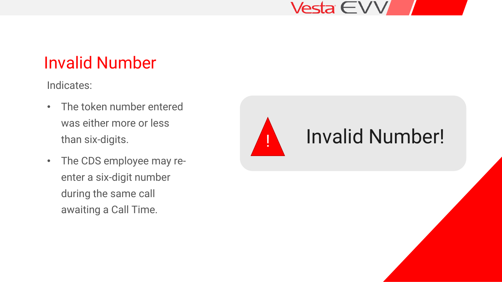#### Invalid Number

Indicates:

- The token number entered was either more or less than six-digits.
- The CDS employee may reenter a six-digit number during the same call awaiting a Call Time.

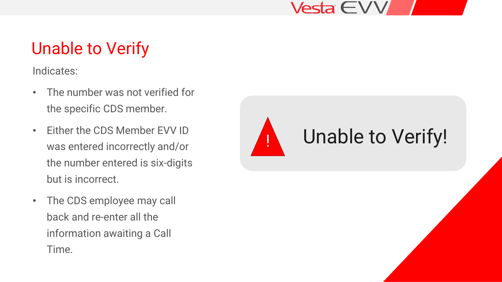### Unable to Verify

Indicates:

- The number was not verified for the specific CDS member.
- Either the CDS Member EVV ID was entered incorrectly and/or the number entered is six-digits but is incorrect.
- The CDS employee may call back and re-enter all the information awaiting a Call Time.